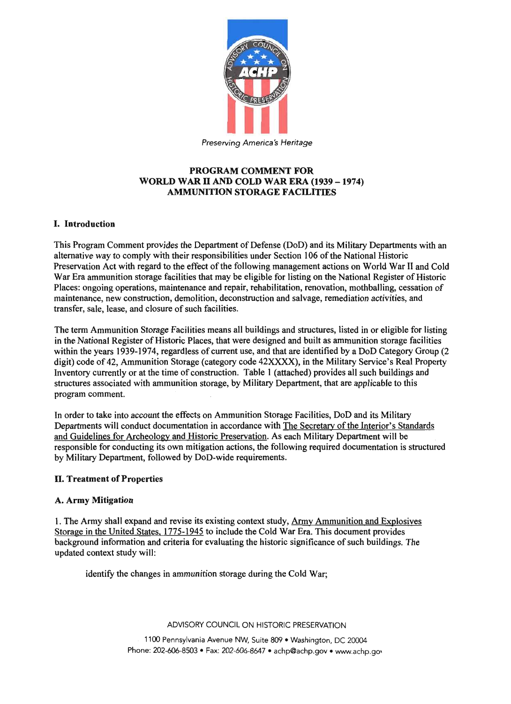

# PROGRAM COMMENT FOR WORLD WAR II AND COLD WAR ERA (1939 - 1974) AMMUNITION STORAGE FACILITIES

# I. Introduction

This Program Comment provides the Department of Defense (DoD) and its Military Departments with an alternative way to comply with their responsibilities under Section 106 of the National Historic Preservation Act with regard to the effect of the following management actions on World War II and Cold War Era ammunition storage facilities that may be eligible for listing on the National Register of Historic Places: ongoing operations, maintenance and repair, rehabilitation, renovation, mothballing, cessation of maintenance, new construction, demolition, deconstruction and salvage, remediation activities, and transfer, sale, lease, and closure of such facilities.

The term Ammunition Storage Facilities means all buildings and structures, listed in or eligible for listing in the National Register of Historic Places, that were designed and built as ammunition storage facilities within the years 1939-1974, regardless of current use, and that are identified by a DoD Category Group (2 digit) code of 42, Ammunition Storage (category code 42XXXX), in the Military Service's Real Property Inventory currently or at the time of construction. Table 1 (attached) provides all such buildings and structures associated with ammunition storage, by Military Department, that are applicable to this program comment.

In order to take into account the effects on Ammunition Storage Facilities, DoD and its Military Departments will conduct documentation in accordance with The Secretary of the Interior's Standards and Guidelines for Archeology and Historic Preservation. As each Military Department will be responsible for conducting its own mitigation actions, the following required documentation is structured by Military Department, followed by DoD-wide requirements.

### ll. Treatment of Properties

# A. Army Mitigation

1. The Army shall expand and revise its existing context study, Army Ammunition and Explosives Storage in the United States. 1775-1945 to include the Cold War Era. This document provides background information and criteria for evaluating the historic significance of such buildings. The updated context study will:

identify the changes in ammunition storage during the Cold War;

ADVISORY COUNCIL ON HISTORIC PRESERVATION

1100 Pennsylvania Avenue NW, Suite 809 . Washington, DC 20004 Phone: 202-606-8503 . Fax: 202-606-8647 . achp@achp.gov . www.achp.gov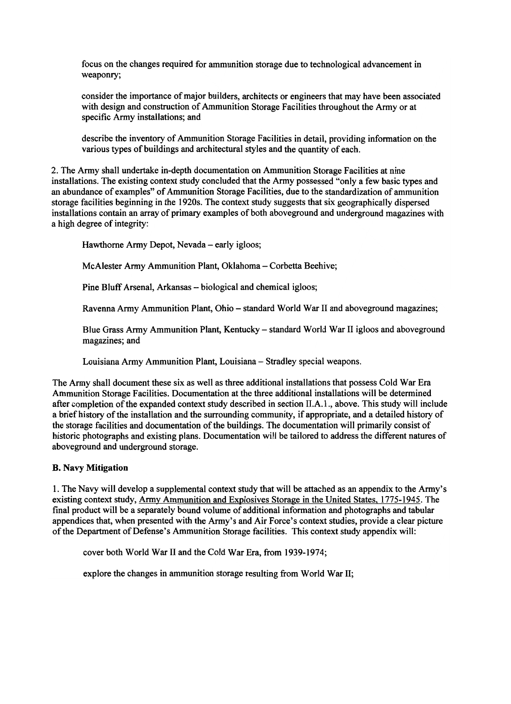focus on the changes required for ammunition storage due to technological advancement in weaponry;

consider the importance of major builders, architects or engineers that may have been associated with design and construction of Ammunition Storage Facilities throughout the Army or at specific Army installations; and

describe the inventory of Ammunition Storage Facilities in detail, providing information on the various types of buildings and architectural styles and the quantity of each.

2. The Army shall undertake in-depth documentation on Ammunition Storage Facilities at nine installations. The existing context study concluded that the Army possessed "only a few basic types and an abundance of examples" of Ammunition Storage Facilities, due to the standardization of ammunition storage facilities beginning in the 1920s. The context study suggests that six geographically dispersed installations contain an array of primary examples of both aboveground and underground magazines with a high degree of integrity:

Hawthorne Army Depot, Nevada - early igloos;

McAlester Army Ammunition Plant, Oklahoma - Corbetta Beehive;

Pine Bluff Arsenal, Arkansas - biological and chemical igloos;

Ravenna Army Ammunition Plant, Ohio - standard World War II and aboveground magazines;

Blue Grass Army Ammunition Plant, Kentucky - standard World War II igloos and aboveground magazines; and

Louisiana Army Ammunition Plant, Louisiana - Stradley special weapons.

The Army shall document these six as well as three additional installations that possess Cold War Era Ammunition Storage Facilities. Documentation at the three additional installations will be determined after completion of the expanded context study described in section II.A.I., above. This study will include a brief history of the installation and the surrounding community, if appropriate, and a detailed history of the storage facilities and documentation of the buildings. The documentation will primarily consist of historic photographs and existing plans. Documentation will be tailored to address the different natures of aboveground and underground storage.

# B. Navy Mitigation

1. The Navy will develop a supplemental context study that will be attached as an appendix to the Army's existing context study, Army Ammunition and Explosives Storage in the United States, 1775-1945. The final product will be a separately bound volume of additional information and photographs and tabular appendices that, when presented with the Army's and Air Force's context studies, provide a clear picture of the Department of Defense's Ammunition Storage facilities. This context study appendix will:

cover both World War II and the Cold War Era, from 1939-1974;

explore the changes in ammunition storage resulting from World War II;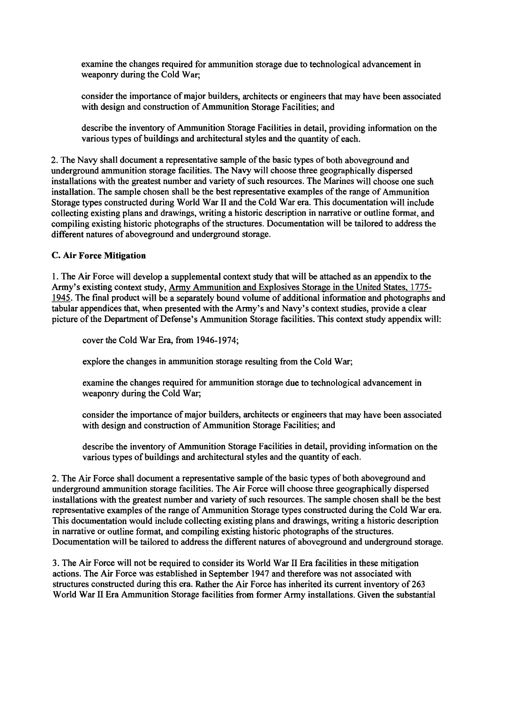examine the changes required for ammunition storage due to technological advancement in weaponry during the Cold War;

consider the importance of major builders, architects or engineers that may have been associated with design and construction of Ammunition Storage Facilities; and

describe the inventory of Ammunition Storage Facilities in detail, providing information on the various types of buildings and architectural styles and the quantity of each.

2. The Navy shall document a representative sample of the basic types of both aboveground and underground ammunition storage facilities. The Navy will choose three geographically dispersed installations with the greatest number and variety of such resources. The Marines will choose one such installation. The sample chosen shall be the best representative examples of the range of Ammunition Storage types constructed during World War II and the Cold War era. This documentation will include collecting existing plans and drawings, writing a historic description in narrative or outline format, and compiling existing historic photographs of the structures. Documentation will be tailored to address the different natures of aboveground and underground storage.

## C. Air Force Mitigation

I. The Air Force will develop a supplemental context study that will be attached as an appendix to the Army's existing context study, Army Ammunition and Explosives Storage in the United States, 1775-1945. The final product will be a separately bound volume of additional information and photographs and tabular appendices that, when presented with the Army's and Navy's context studies, provide a clear picture of the Department of Defense's Ammunition Storage facilities. This context study appendix will:

cover the Cold War Era, from 1946-1974;

explore the changes in ammunition storage resulting from the Cold War;

examine the changes required for ammunition storage due to technological advancement in weaponry during the Cold War;

consider the importance of major builders, architects or engineers that may have been associated with design and construction of Ammunition Storage Facilities; and

describe the inventory of Ammunition Storage Facilities in detail, providing information on the various types of buildings and architectural styles and the quantity of each.

2. The Air Force shall document a representative sample of the basic types of both aboveground and underground ammunition storage facilities. The Air Force will choose three geographically dispersed installations with the greatest number and variety of such resources. The sample chosen shall be the best representative examples of the range of Ammunition Storage types constructed during the Cold War era. This documentation would include collecting existing plans and drawings, writing a historic description in narrative or outline format, and compiling existing historic photographs of the structures. Documentation will be tailored to address the different natures of aboveground and underground storage.

3. The Air Force will not be required to consider its World War II Era facilities in these mitigation actions. The Air Force was established in September 1947 and therefore was not associated with structures constructed during this era. Rather the Air Force has inherited its current inventory of 263 World War II Era Ammunition Storage facilities from former Army installations. Given the substantial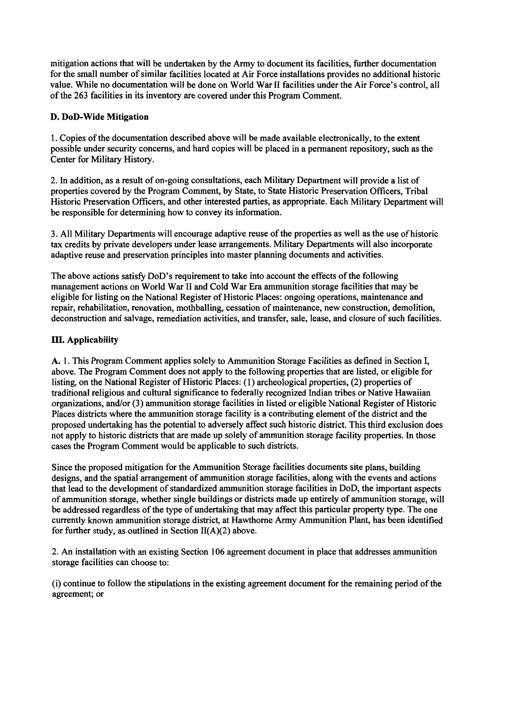mitigation actions that will be undertaken by the Army to document its facilities, further documentation for the small number of similar facilities located at Air Force installations provides no additional historic value. While no documentation will be done on World War II facilities under the Air Force's control, all of the 263 facilities in its inventory are covered under this Program Comment.

# D. DoD- Wide Mitigation

1. Copies of the documentation described above will be made available electronically, to the extent possible under security concerns, and hard copies will be placed in a permanent repository, such as the Center for Military History.

2. In addition, as a result of on-going consultations, each Military Department will provide a list of properties covered by the Program Comment, by State, to State Historic Preservation Officers, Tribal Historic Preservation Officers, and other interested parties, as appropriate. Each Military Department will be responsible for determining how to convey its information.

3. All Military Departments will encourage adaptive reuse of the properties as well as the use of historic tax credits by private developers under lease arrangements. Military Departments will also incorporate adaptive reuse and preservation principles into master planning documents and activities.

The above actions satisfy DoD's requirement to take into account the effects of the following management actions on World War II and Cold War Era ammunition storage facilities that may be eligible for listing on the National Register of Historic Places: ongoing operations, maintenance and repair, rehabilitation, renovation, mothballing, cessation of maintenance, new construction, demolition, deconstruction and salvage, remediation activities, and transfer, sale, lease, and closure of such facilities,

# III. Applicability

A. 1. This Program Comment applies solely to Ammunition Storage Facilities as defined in Section I, above. The Program Comment does not apply to the following properties that are listed, or eligible for listing, on the National Register of Historic Places: (1) archeological properties, (2) properties of traditional religious and cultural significance to federally recognized Indian tribes or Native Hawaiian organizations, and/or (3) ammunition storage facilities in listed or eligible National Register of Historic Places districts where the ammunition storage facility is a contributing element of the district and the proposed undertaking has the potential to adversely affect such historic district. This third exclusion does not apply to historic districts that are made up solely of ammunition storage facility properties. In those cases the Program Comment would be applicable to such districts.

Since the proposed mitigation for the Ammunition Storage facilities documents site plans, building designs, and the spatial arrangement of ammunition storage facilities, along with the events and actions that lead to the development of standardized ammunition storage facilities in DoD, the important aspects of ammunition storage, whether single buildings or districts made up entirely of ammunition storage, will be addressed regardless of the type of undertaking that may affect this particular property type. The one currently known ammunition storage district, at Hawthorne Army Ammunition Plant, has been identified for further study, as outlined in Section  $II(A)(2)$  above.

2. An installation with an existing Section 106 agreement document in place that addresses ammunition storage facilities can choose to:

(i) continue to follow the stipulations in the existing agreement document for the remaining period of the agreement; or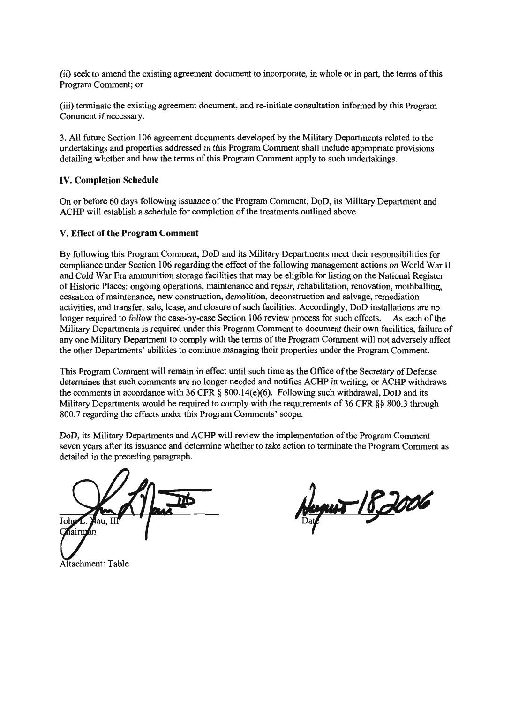(ii) seek to amend the existing agreement document to incorporate, in whole or in part, the terms of this Program Comment; or

(iii) tenninate the existing agreement document, and re-initiate consultation informed by this Program Comment if necessary.

3. All future Section 106 agreement documents developed by the Military Departments related to the undertakings and properties addressed in this Program Comment shall include appropriate provisions detailing whether and how the terms of this Program Comment apply to such undertakings.

### IV. Completion Schedule

On or before 60 days following issuance of the Program Comment, DoD, its Military Department and ACHP will establish a schedule for completion of the treatments outlined above.

#### V. Effect of the Program Comment

By following this Program Comment, DoD and its Military Departments meet their responsibilities for compliance under Section 106 regarding the effect of the following management actions on World War II and Cold War Era ammunition storage facilities that may be eligible for listing on the National Register of Historic Places: ongoing operations, maintenance and repair, rehabilitation, renovation, mothballing, cessation of maintenance, new construction, demolition, deconstruction and salvage, remediation activities, and transfer, sale, lease, and closure of such facilities. Accordingly, DoD installations are no longer required to follow the case-by-case Section 106 review process for such effects. As each of the Military Departments is required under this Program Comment to document their own facilities, failure of anyone Military Department to comply with the terms of the Program Comment will not adversely affect the other Departments' abilities to continue managing their properties under the Program Comment.

This Program Comment will remain in effect until such time as the Office of the Secretary of Defense determines that such comments are no longer needed and notifies ACHP in writing, or ACHP withdraws the comments in accordance with 36 CFR  $\S$  800.14(e)(6). Following such withdrawal, DoD and its Military Departments would be required to comply with the requirements of 36 CFR §§ 800.3 through 800.7 regarding the effects under this Program Comments' scope.

DoD, its Military Departments and ACHP will review the implementation of the Program Comment seven years after its issuance and determine whether to take action to terminate the Program Comment as detailed in the preceding paragraph.

Joh ian Il

Attachment: Table

<u>nur 18,2006</u>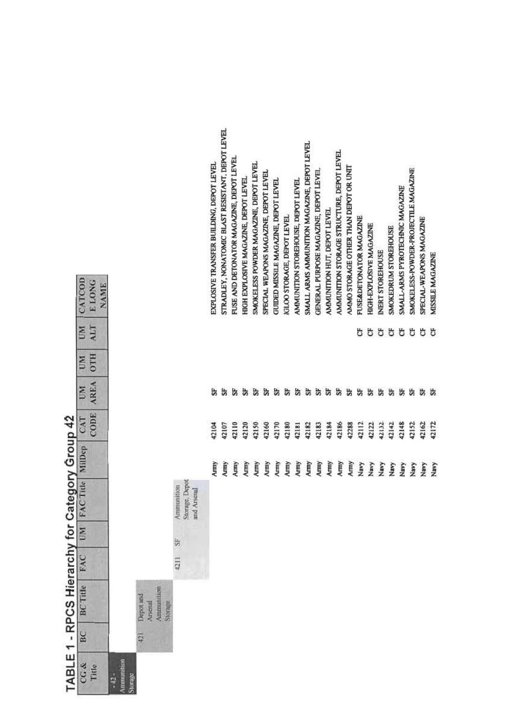|                                        |     | TABLE 1 - RPCS Hierarchy for Category Group 42 |      |                | FAC Title                                   |        |             |                         |                        |                  |                                                 |
|----------------------------------------|-----|------------------------------------------------|------|----------------|---------------------------------------------|--------|-------------|-------------------------|------------------------|------------------|-------------------------------------------------|
| CG &<br>Title                          | BC  | <b>BC</b> Title                                | FAC  | <b>M</b>       |                                             | MilDep | CODE<br>CAT | <b>AREA</b><br><b>E</b> | <b>OTH</b><br><b>E</b> | ALT<br><b>ES</b> | CATCOD<br>ELONG<br><b>NAME</b>                  |
| <b>Ammunition</b><br>Storage<br>$-42-$ |     |                                                |      |                |                                             |        |             |                         |                        |                  |                                                 |
|                                        | 421 | Ammunition<br>Depot and<br>Arsenal<br>Storage  |      |                |                                             |        |             |                         |                        |                  |                                                 |
|                                        |     |                                                | 4211 | $\frac{1}{25}$ | Storage, Depot<br>Ammunition<br>and Arsenal |        |             |                         |                        |                  |                                                 |
|                                        |     |                                                |      |                |                                             | Army   | 42104       | 55                      |                        |                  | EXPLOSIVE TRANSFER BUILDING, DEPOT LEVEL        |
|                                        |     |                                                |      |                |                                             | Army   | 42107       | 55                      |                        |                  | STRADLEY, NONATOMIC BLAST RESISTANT, DEPOT LEVE |
|                                        |     |                                                |      |                |                                             | Army   | 42110       | £,                      |                        |                  | FUSE AND DETONATOR MAGAZINE, DEPOT LEVEL        |
|                                        |     |                                                |      |                |                                             | Army   | 42120       | 告                       |                        |                  | HIGH EXPLOSIVE MAGAZINE, DEPOT LEVEL            |
|                                        |     |                                                |      |                |                                             | Army   | 42150       | SP <sub>3</sub>         |                        |                  | SMOKELESS POWDER MAGAZINE, DEPOT LEVEL          |
|                                        |     |                                                |      |                |                                             | Army   | 42160       | SF                      |                        |                  | SPECIAL WEAPONS MAGAZINE, DEPOT LEVEL           |
|                                        |     |                                                |      |                |                                             | Army   | 42170       | 5P                      |                        |                  | GUIDED MISSILE MAGAZINE, DEPOT LEVEL            |
|                                        |     |                                                |      |                |                                             | Army   | 42180       | 52                      |                        |                  | <b>GLOO STORAGE, DEPOT LEVEL</b>                |
|                                        |     |                                                |      |                |                                             | Army   | 42181       |                         |                        |                  | AMMUNITION STOREHOUSE, DEPOT LEVEL              |
|                                        |     |                                                |      |                |                                             | Army   | 42182       | SF.                     |                        |                  | SMALL ARMS AMMUNITION MAGAZINE, DEPOT LEVEL     |
|                                        |     |                                                |      |                |                                             | Army   | 42183       | 5F                      |                        |                  | GENERAL PURPOSE MAGAZINE, DEPOT LEVEL           |
|                                        |     |                                                |      |                |                                             | Army   | 42184       | 55                      |                        |                  | AMMUNITION HUT, DEPOT LEVEL                     |
|                                        |     |                                                |      |                |                                             | Army   | 42186       | 55                      |                        |                  | AMMUNITION STORAGE STRUCTURE, DEPOT LEVEL       |
|                                        |     |                                                |      |                |                                             | Army   | 42288       | 5F                      |                        |                  | AMMO STORAGE OTHER THAN DEPOT OR UNIT           |
|                                        |     |                                                |      |                |                                             | Navy   | 42112       | 55                      |                        | 5                | FUSE&DETONATOR MAGAZINE                         |
|                                        |     |                                                |      |                |                                             | Navy   | 42122       | 5F                      |                        | ზ                | HIGH-EXPLOSIVE MAGAZINE                         |
|                                        |     |                                                |      |                |                                             | Navy   | 42132       | SF.                     |                        | Ğ                | <b>NERT STOREHOUSE</b>                          |
|                                        |     |                                                |      |                |                                             | Navy   | 42142       | 55                      |                        | ö                | SMOKEDRUM STOREHOUSE                            |
|                                        |     |                                                |      |                |                                             | Navy   | 42148       | 齿                       |                        | ö                | SMALL-ARMS PYROTECHNIC MAGAZINE                 |
|                                        |     |                                                |      |                |                                             | Navy   | 42152       | 5                       |                        | ö                | SMOKELESS-POWDER-PROJECTILE MAGAZINE            |
|                                        |     |                                                |      |                |                                             | Navy   | 42162       | 55                      |                        | ö                | SPECIAL-WEAPONS MAGAZINE                        |
|                                        |     |                                                |      |                |                                             | Navy   | 42172       |                         |                        | ö                | MISSILE MAGAZINE                                |

 $\rightarrow$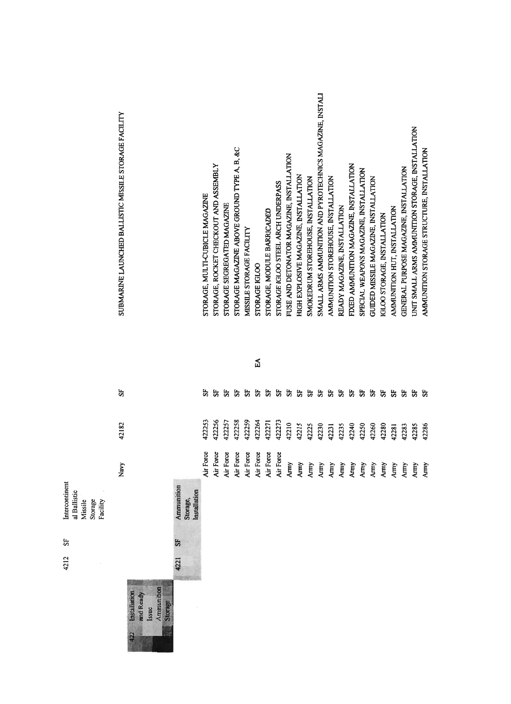|                                                                  | SUBMARINE LAUNCHED BALLISTIC MISSILE STORAGE FACILITY              |                                        | STORAGE, MULTI-CUBICLE MAGAZINE | STORAGE, ROCKET CHECKOUT AND ASSEMBLY | STORAGE SEGREGATED MAGAZINE | STORAGE MAGAZINE ABOVE GROUND TYPE A, B, &C | MISSILE STORAGE FACILITY | STORAGE IGLOO | STORAGE, MODULE BARRICADED | STORAGE IGLOO STEEL ARCH UNDERPASS | FUSE AND DETONATOR MAGAZINE, INSTALLATION | HIGH EXPLOSIVE MAGAZINE, INSTALLATION | SMOKEDRUM STOREHOUSE, INSTALLATION | SMALL ARMS AMMUNITION AND PYROTECHNICS MAGAZINE, INSTALI | AMMUNITION STOREHOUSE, INSTALLATION | READY MAGAZINE, INSTALLATION | FIXED AMMUNITION MAGAZINE, INSTALLATION | SPECIAL WEAPONS MAGAZINE, INSTALLATION | GUIDED MISSILE MAGAZINE, INSTALLATION | IGLOO STORAGE, INSTALLATION     | AMMUNITION HUT, INSTALLATION | GENERAL PURPOSE MAGAZINE, INSTALLATION | UNIT SMALL ARMS AMMUNITION STORAGE, INSTALLATION | AMMUNITION STORAGE STRUCTURE, INSTALLATION |
|------------------------------------------------------------------|--------------------------------------------------------------------|----------------------------------------|---------------------------------|---------------------------------------|-----------------------------|---------------------------------------------|--------------------------|---------------|----------------------------|------------------------------------|-------------------------------------------|---------------------------------------|------------------------------------|----------------------------------------------------------|-------------------------------------|------------------------------|-----------------------------------------|----------------------------------------|---------------------------------------|---------------------------------|------------------------------|----------------------------------------|--------------------------------------------------|--------------------------------------------|
|                                                                  |                                                                    |                                        |                                 |                                       |                             |                                             |                          | EA.           |                            |                                    |                                           |                                       |                                    |                                                          |                                     |                              |                                         |                                        |                                       |                                 |                              |                                        |                                                  |                                            |
|                                                                  | 55                                                                 |                                        | 55                              | 35                                    | 55                          | 55                                          | 55                       | 55            | 35                         | 55                                 |                                           | 55                                    | 55                                 | 55                                                       | 55                                  | 5F                           | 55                                      | 55                                     | 35                                    | 35                              | 53                           | 55                                     | 55                                               | 55                                         |
|                                                                  | 42182                                                              |                                        | 422253                          | 422256                                | 422257                      | 422258                                      | 422259                   | 422264        | 422271                     | 422273                             | 42210                                     | 42215                                 | 42225                              | 42230                                                    | 42231                               | 42235                        | 42240                                   | 42250                                  | 42260                                 | 42280                           | 42281                        | 42283                                  | 42285                                            | 42286                                      |
|                                                                  | Navy                                                               |                                        | Air Force                       | Force<br><b>Air I</b>                 | Force<br>Air <sub>1</sub>   | Force<br>Air I                              | Air Force                | Air Force     | Air Force                  | Air Force                          |                                           | Army<br>Army<br>Army                  |                                    | Army                                                     | Army                                |                              |                                         |                                        |                                       | Amy<br>Amy<br>Amy<br>Amy<br>Amy |                              | Army                                   | Army                                             | Army                                       |
| Intercontinent<br>al Ballistic<br>Missile<br>Storage<br>Facility |                                                                    | Ammunition<br>Installation<br>Storage, |                                 |                                       |                             |                                             |                          |               |                            |                                    |                                           |                                       |                                    |                                                          |                                     |                              |                                         |                                        |                                       |                                 |                              |                                        |                                                  |                                            |
| 55                                                               |                                                                    | 55                                     |                                 |                                       |                             |                                             |                          |               |                            |                                    |                                           |                                       |                                    |                                                          |                                     |                              |                                         |                                        |                                       |                                 |                              |                                        |                                                  |                                            |
| 4212                                                             |                                                                    | 4221                                   |                                 |                                       |                             |                                             |                          |               |                            |                                    |                                           |                                       |                                    |                                                          |                                     |                              |                                         |                                        |                                       |                                 |                              |                                        |                                                  |                                            |
|                                                                  | Ammunition<br>Storage<br>Installation<br>and Ready<br>Issue<br>422 |                                        |                                 |                                       |                             |                                             |                          |               |                            |                                    |                                           |                                       |                                    |                                                          |                                     |                              |                                         |                                        |                                       |                                 |                              |                                        |                                                  |                                            |